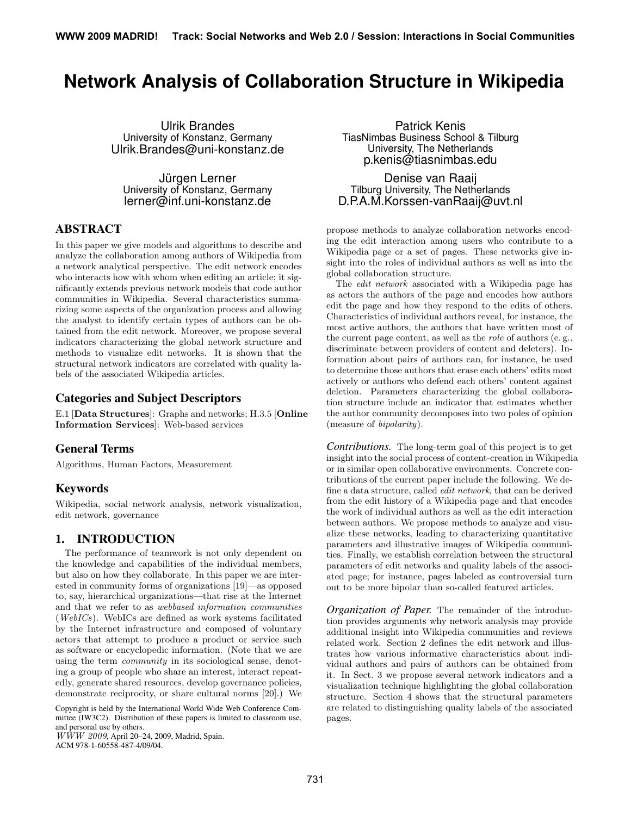# **Network Analysis of Collaboration Structure in Wikipedia**

Ulrik Brandes University of Konstanz, Germany Ulrik.Brandes@uni-konstanz.de

Jürgen Lerner University of Konstanz, Germany lerner@inf.uni-konstanz.de

# ABSTRACT

In this paper we give models and algorithms to describe and analyze the collaboration among authors of Wikipedia from a network analytical perspective. The edit network encodes who interacts how with whom when editing an article; it significantly extends previous network models that code author communities in Wikipedia. Several characteristics summarizing some aspects of the organization process and allowing the analyst to identify certain types of authors can be obtained from the edit network. Moreover, we propose several indicators characterizing the global network structure and methods to visualize edit networks. It is shown that the structural network indicators are correlated with quality labels of the associated Wikipedia articles.

# Categories and Subject Descriptors

E.1 [Data Structures]: Graphs and networks; H.3.5 [Online Information Services]: Web-based services

# General Terms

Algorithms, Human Factors, Measurement

# Keywords

Wikipedia, social network analysis, network visualization, edit network, governance

# 1. INTRODUCTION

The performance of teamwork is not only dependent on the knowledge and capabilities of the individual members, but also on how they collaborate. In this paper we are interested in community forms of organizations [19]—as opposed to, say, hierarchical organizations—that rise at the Internet and that we refer to as webbased information communities (WebICs). WebICs are defined as work systems facilitated by the Internet infrastructure and composed of voluntary actors that attempt to produce a product or service such as software or encyclopedic information. (Note that we are using the term community in its sociological sense, denoting a group of people who share an interest, interact repeatedly, generate shared resources, develop governance policies, demonstrate reciprocity, or share cultural norms [20].) We

Copyright is held by the International World Wide Web Conference Committee (IW3C2). Distribution of these papers is limited to classroom use, and personal use by others. WWW 2009, April 20–24, 2009, Madrid, Spain.

ACM 978-1-60558-487-4/09/04.

Patrick Kenis TiasNimbas Business School & Tilburg University, The Netherlands p.kenis@tiasnimbas.edu

Denise van Raaij Tilburg University, The Netherlands D.P.A.M.Korssen-vanRaaij@uvt.nl

propose methods to analyze collaboration networks encoding the edit interaction among users who contribute to a Wikipedia page or a set of pages. These networks give insight into the roles of individual authors as well as into the global collaboration structure.

The edit network associated with a Wikipedia page has as actors the authors of the page and encodes how authors edit the page and how they respond to the edits of others. Characteristics of individual authors reveal, for instance, the most active authors, the authors that have written most of the current page content, as well as the role of authors (e. g., discriminate between providers of content and deleters). Information about pairs of authors can, for instance, be used to determine those authors that erase each others' edits most actively or authors who defend each others' content against deletion. Parameters characterizing the global collaboration structure include an indicator that estimates whether the author community decomposes into two poles of opinion (measure of bipolarity).

*Contributions.* The long-term goal of this project is to get insight into the social process of content-creation in Wikipedia or in similar open collaborative environments. Concrete contributions of the current paper include the following. We define a data structure, called edit network, that can be derived from the edit history of a Wikipedia page and that encodes the work of individual authors as well as the edit interaction between authors. We propose methods to analyze and visualize these networks, leading to characterizing quantitative parameters and illustrative images of Wikipedia communities. Finally, we establish correlation between the structural parameters of edit networks and quality labels of the associated page; for instance, pages labeled as controversial turn out to be more bipolar than so-called featured articles.

*Organization of Paper.* The remainder of the introduction provides arguments why network analysis may provide additional insight into Wikipedia communities and reviews related work. Section 2 defines the edit network and illustrates how various informative characteristics about individual authors and pairs of authors can be obtained from it. In Sect. 3 we propose several network indicators and a visualization technique highlighting the global collaboration structure. Section 4 shows that the structural parameters are related to distinguishing quality labels of the associated pages.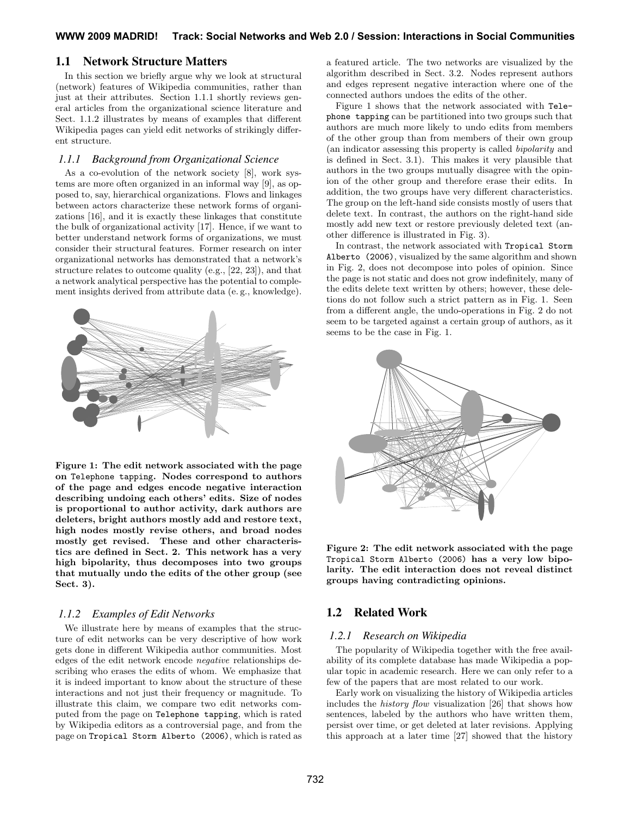## 1.1 Network Structure Matters

In this section we briefly argue why we look at structural (network) features of Wikipedia communities, rather than just at their attributes. Section 1.1.1 shortly reviews general articles from the organizational science literature and Sect. 1.1.2 illustrates by means of examples that different Wikipedia pages can yield edit networks of strikingly different structure.

#### *1.1.1 Background from Organizational Science*

As a co-evolution of the network society [8], work systems are more often organized in an informal way [9], as opposed to, say, hierarchical organizations. Flows and linkages between actors characterize these network forms of organizations [16], and it is exactly these linkages that constitute the bulk of organizational activity [17]. Hence, if we want to better understand network forms of organizations, we must consider their structural features. Former research on inter organizational networks has demonstrated that a network's structure relates to outcome quality (e.g., [22, 23]), and that a network analytical perspective has the potential to complement insights derived from attribute data (e. g., knowledge).



Figure 1: The edit network associated with the page on Telephone tapping. Nodes correspond to authors of the page and edges encode negative interaction describing undoing each others' edits. Size of nodes is proportional to author activity, dark authors are deleters, bright authors mostly add and restore text, high nodes mostly revise others, and broad nodes mostly get revised. These and other characteristics are defined in Sect. 2. This network has a very high bipolarity, thus decomposes into two groups that mutually undo the edits of the other group (see Sect. 3).

#### *1.1.2 Examples of Edit Networks*

We illustrate here by means of examples that the structure of edit networks can be very descriptive of how work gets done in different Wikipedia author communities. Most edges of the edit network encode negative relationships describing who erases the edits of whom. We emphasize that it is indeed important to know about the structure of these interactions and not just their frequency or magnitude. To illustrate this claim, we compare two edit networks computed from the page on Telephone tapping, which is rated by Wikipedia editors as a controversial page, and from the page on Tropical Storm Alberto (2006), which is rated as a featured article. The two networks are visualized by the algorithm described in Sect. 3.2. Nodes represent authors and edges represent negative interaction where one of the connected authors undoes the edits of the other.

Figure 1 shows that the network associated with Telephone tapping can be partitioned into two groups such that authors are much more likely to undo edits from members of the other group than from members of their own group (an indicator assessing this property is called bipolarity and is defined in Sect. 3.1). This makes it very plausible that authors in the two groups mutually disagree with the opinion of the other group and therefore erase their edits. In addition, the two groups have very different characteristics. The group on the left-hand side consists mostly of users that delete text. In contrast, the authors on the right-hand side mostly add new text or restore previously deleted text (another difference is illustrated in Fig. 3).

In contrast, the network associated with Tropical Storm Alberto (2006), visualized by the same algorithm and shown in Fig. 2, does not decompose into poles of opinion. Since the page is not static and does not grow indefinitely, many of the edits delete text written by others; however, these deletions do not follow such a strict pattern as in Fig. 1. Seen from a different angle, the undo-operations in Fig. 2 do not seem to be targeted against a certain group of authors, as it seems to be the case in Fig. 1.



Figure 2: The edit network associated with the page Tropical Storm Alberto (2006) has a very low bipolarity. The edit interaction does not reveal distinct groups having contradicting opinions.

# 1.2 Related Work

#### *1.2.1 Research on Wikipedia*

The popularity of Wikipedia together with the free availability of its complete database has made Wikipedia a popular topic in academic research. Here we can only refer to a few of the papers that are most related to our work.

Early work on visualizing the history of Wikipedia articles includes the history flow visualization [26] that shows how sentences, labeled by the authors who have written them, persist over time, or get deleted at later revisions. Applying this approach at a later time [27] showed that the history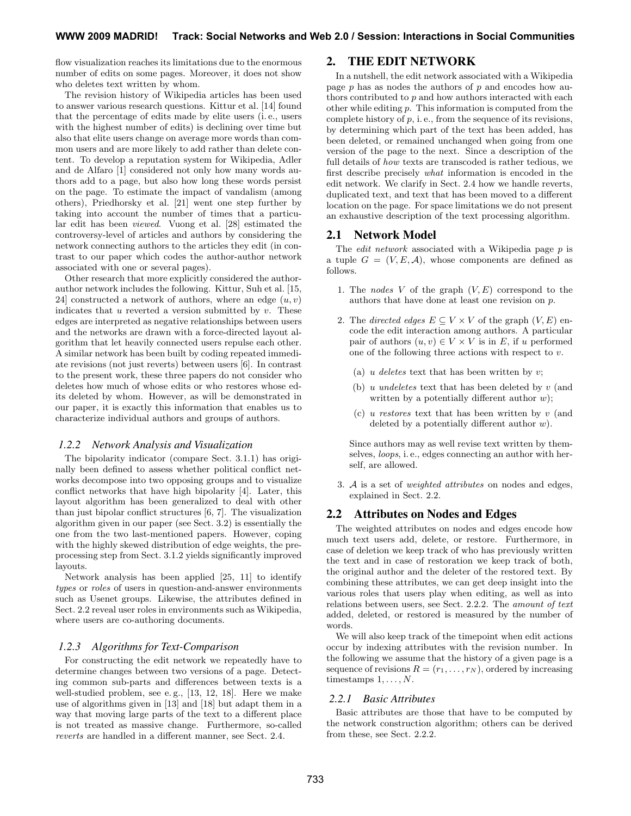flow visualization reaches its limitations due to the enormous number of edits on some pages. Moreover, it does not show who deletes text written by whom.

The revision history of Wikipedia articles has been used to answer various research questions. Kittur et al. [14] found that the percentage of edits made by elite users (i. e., users with the highest number of edits) is declining over time but also that elite users change on average more words than common users and are more likely to add rather than delete content. To develop a reputation system for Wikipedia, Adler and de Alfaro [1] considered not only how many words authors add to a page, but also how long these words persist on the page. To estimate the impact of vandalism (among others), Priedhorsky et al. [21] went one step further by taking into account the number of times that a particular edit has been viewed. Vuong et al. [28] estimated the controversy-level of articles and authors by considering the network connecting authors to the articles they edit (in contrast to our paper which codes the author-author network associated with one or several pages).

Other research that more explicitly considered the authorauthor network includes the following. Kittur, Suh et al. [15, 24] constructed a network of authors, where an edge  $(u, v)$ indicates that  $u$  reverted a version submitted by  $v$ . These edges are interpreted as negative relationships between users and the networks are drawn with a force-directed layout algorithm that let heavily connected users repulse each other. A similar network has been built by coding repeated immediate revisions (not just reverts) between users [6]. In contrast to the present work, these three papers do not consider who deletes how much of whose edits or who restores whose edits deleted by whom. However, as will be demonstrated in our paper, it is exactly this information that enables us to characterize individual authors and groups of authors.

#### *1.2.2 Network Analysis and Visualization*

The bipolarity indicator (compare Sect. 3.1.1) has originally been defined to assess whether political conflict networks decompose into two opposing groups and to visualize conflict networks that have high bipolarity [4]. Later, this layout algorithm has been generalized to deal with other than just bipolar conflict structures [6, 7]. The visualization algorithm given in our paper (see Sect. 3.2) is essentially the one from the two last-mentioned papers. However, coping with the highly skewed distribution of edge weights, the preprocessing step from Sect. 3.1.2 yields significantly improved layouts.

Network analysis has been applied [25, 11] to identify types or roles of users in question-and-answer environments such as Usenet groups. Likewise, the attributes defined in Sect. 2.2 reveal user roles in environments such as Wikipedia, where users are co-authoring documents.

#### *1.2.3 Algorithms for Text-Comparison*

For constructing the edit network we repeatedly have to determine changes between two versions of a page. Detecting common sub-parts and differences between texts is a well-studied problem, see e. g., [13, 12, 18]. Here we make use of algorithms given in [13] and [18] but adapt them in a way that moving large parts of the text to a different place is not treated as massive change. Furthermore, so-called reverts are handled in a different manner, see Sect. 2.4.

# 2. THE EDIT NETWORK

In a nutshell, the edit network associated with a Wikipedia page  $p$  has as nodes the authors of  $p$  and encodes how authors contributed to p and how authors interacted with each other while editing  $p$ . This information is computed from the complete history of  $p$ , i.e., from the sequence of its revisions, by determining which part of the text has been added, has been deleted, or remained unchanged when going from one version of the page to the next. Since a description of the full details of how texts are transcoded is rather tedious, we first describe precisely what information is encoded in the edit network. We clarify in Sect. 2.4 how we handle reverts, duplicated text, and text that has been moved to a different location on the page. For space limitations we do not present an exhaustive description of the text processing algorithm.

## 2.1 Network Model

The *edit network* associated with a Wikipedia page  $p$  is a tuple  $G = (V, E, A)$ , whose components are defined as follows.

- 1. The nodes V of the graph  $(V, E)$  correspond to the authors that have done at least one revision on p.
- 2. The directed edges  $E \subseteq V \times V$  of the graph  $(V, E)$  encode the edit interaction among authors. A particular pair of authors  $(u, v) \in V \times V$  is in E, if u performed one of the following three actions with respect to  $v$ .
	- (a)  $u$  deletes text that has been written by  $v$ ;
	- (b) u undeletes text that has been deleted by  $v$  (and written by a potentially different author  $w$ ;
	- (c) u restores text that has been written by  $v$  (and deleted by a potentially different author  $w$ ).

Since authors may as well revise text written by themselves, loops, i. e., edges connecting an author with herself, are allowed.

3. A is a set of weighted attributes on nodes and edges, explained in Sect. 2.2.

## 2.2 Attributes on Nodes and Edges

The weighted attributes on nodes and edges encode how much text users add, delete, or restore. Furthermore, in case of deletion we keep track of who has previously written the text and in case of restoration we keep track of both, the original author and the deleter of the restored text. By combining these attributes, we can get deep insight into the various roles that users play when editing, as well as into relations between users, see Sect. 2.2.2. The amount of text added, deleted, or restored is measured by the number of words.

We will also keep track of the timepoint when edit actions occur by indexing attributes with the revision number. In the following we assume that the history of a given page is a sequence of revisions  $R = (r_1, \ldots, r_N)$ , ordered by increasing timestamps  $1, \ldots, N$ .

#### *2.2.1 Basic Attributes*

Basic attributes are those that have to be computed by the network construction algorithm; others can be derived from these, see Sect. 2.2.2.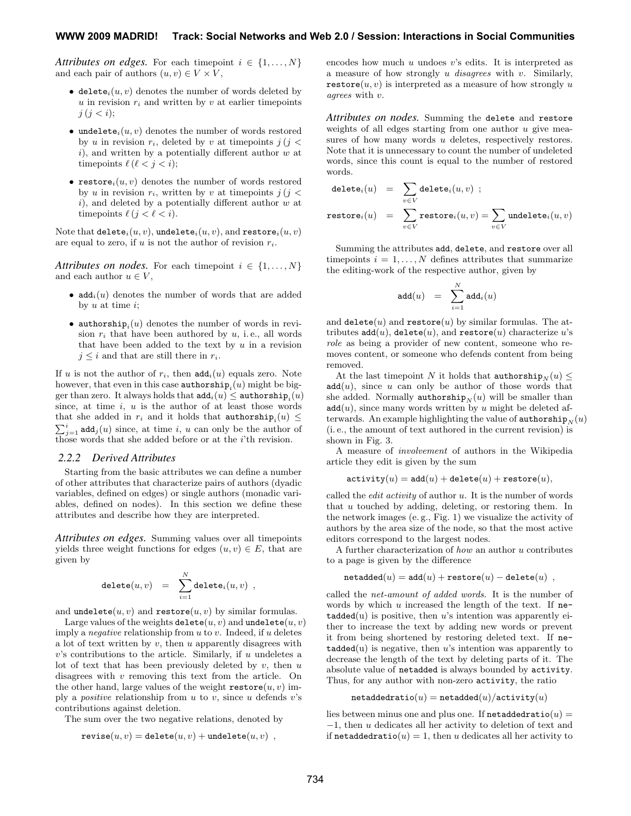*Attributes on edges.* For each timepoint  $i \in \{1, ..., N\}$ and each pair of authors  $(u, v) \in V \times V$ ,

- delete<sub>i</sub> $(u, v)$  denotes the number of words deleted by  $u$  in revision  $r_i$  and written by  $v$  at earlier timepoints  $j (j < i);$
- undelete<sub>i</sub> $(u, v)$  denotes the number of words restored by u in revision  $r_i$ , deleted by v at timepoints  $j$  ( $j$  <  $i)$ , and written by a potentially different author  $w$  at timepoints  $\ell$  ( $\ell < j < i$ );
- restore $i(u, v)$  denotes the number of words restored by u in revision  $r_i$ , written by v at timepoints  $j$  ( $j$  <  $i)$ , and deleted by a potentially different author  $w$  at time points  $\ell$  ( $j < \ell < i$ ).

Note that delete<sub>i</sub> $(u, v)$ , undelete<sub>i</sub> $(u, v)$ , and restore<sub>i</sub> $(u, v)$ are equal to zero, if u is not the author of revision  $r_i$ .

*Attributes on nodes.* For each timepoint  $i \in \{1, \ldots, N\}$ and each author  $u \in V$ ,

- $\text{add}_i(u)$  denotes the number of words that are added by  $u$  at time  $i$ ;
- authorship<sub>i</sub> $(u)$  denotes the number of words in revision  $r_i$  that have been authored by u, i.e., all words that have been added to the text by  $u$  in a revision  $j \leq i$  and that are still there in  $r_i$ .

If u is not the author of  $r_i$ , then  $\text{add}_i(u)$  equals zero. Note however, that even in this case  $\texttt{authorship}_i(u)$  might be bigger than zero. It always holds that  $\mathtt{add}_i(u) \leq \mathtt{authorship}_i(u)$ since, at time  $i, u$  is the author of at least those words that she added in  $r_i$  and it holds that **authorship**<sub>i</sub> $(u) \leq$  $\sum_{j=1}^{i} \mathtt{add}_{j}(u)$  since, at time i, u can only be the author of those words that she added before or at the i'th revision.

#### *2.2.2 Derived Attributes*

Starting from the basic attributes we can define a number of other attributes that characterize pairs of authors (dyadic variables, defined on edges) or single authors (monadic variables, defined on nodes). In this section we define these attributes and describe how they are interpreted.

*Attributes on edges.* Summing values over all timepoints yields three weight functions for edges  $(u, v) \in E$ , that are given by

$$
\mathtt{delete}(u,v) \enskip = \enskip \sum_{i=1}^N \mathtt{delete}_i(u,v) \enskip ,
$$

and undelete $(u, v)$  and restore $(u, v)$  by similar formulas.

Large values of the weights delete $(u, v)$  and undelete $(u, v)$ imply a *negative* relationship from  $u$  to  $v$ . Indeed, if  $u$  deletes a lot of text written by  $v$ , then  $u$  apparently disagrees with  $v$ 's contributions to the article. Similarly, if u undeletes a lot of text that has been previously deleted by  $v$ , then  $u$ disagrees with v removing this text from the article. On the other hand, large values of the weight  $\mathtt{restore}(u, v)$  imply a *positive* relationship from  $u$  to  $v$ , since  $u$  defends  $v$ 's contributions against deletion.

The sum over the two negative relations, denoted by

$$
\mathtt{revise}(u,v) = \mathtt{delete}(u,v) + \mathtt{undelete}(u,v)~~,
$$

encodes how much  $u$  undoes  $v$ 's edits. It is interpreted as a measure of how strongly u *disagrees* with v. Similarly, restore $(u, v)$  is interpreted as a measure of how strongly u agrees with v.

*Attributes on nodes.* Summing the delete and restore weights of all edges starting from one author  $u$  give measures of how many words u deletes, respectively restores. Note that it is unnecessary to count the number of undeleted words, since this count is equal to the number of restored words.

$$
\begin{array}{lcl} \texttt{delete}_i(u) & = & \displaystyle \sum_{v \in V} \texttt{delete}_i(u,v) \, \ ; \\ \\ \texttt{restore}_i(u) & = & \displaystyle \sum_{v \in V} \texttt{restore}_i(u,v) = \sum_{v \in V} \texttt{undelete}_i(u,v) \end{array}
$$

Summing the attributes add, delete, and restore over all timepoints  $i = 1, \ldots, N$  defines attributes that summarize the editing-work of the respective author, given by

$$
\mathtt{add}(u) \enskip = \enskip \sum_{i=1}^N \mathtt{add}_i(u)
$$

and delete(u) and  $\texttt{restore}(u)$  by similar formulas. The attributes  $add(u)$ , delete $(u)$ , and restore $(u)$  characterize u's role as being a provider of new content, someone who removes content, or someone who defends content from being removed.

At the last timepoint N it holds that  $\text{authorship}_{N} (u) \leq$  $add(u)$ , since u can only be author of those words that she added. Normally **authorship** $_N(u)$  will be smaller than  $add(u)$ , since many words written by u might be deleted afterwards. An example highlighting the value of  $\texttt{authorship}_N (u)$ (i. e., the amount of text authored in the current revision) is shown in Fig. 3.

A measure of involvement of authors in the Wikipedia article they edit is given by the sum

$$
\mathtt{activity}(u) = \mathtt{add}(u) + \mathtt{delete}(u) + \mathtt{restore}(u),
$$

called the edit activity of author u. It is the number of words that u touched by adding, deleting, or restoring them. In the network images (e. g., Fig. 1) we visualize the activity of authors by the area size of the node, so that the most active editors correspond to the largest nodes.

A further characterization of how an author u contributes to a page is given by the difference

$$
\mathtt{netadded}(u) = \mathtt{add}(u) + \mathtt{restore}(u) - \mathtt{delete}(u)~~,
$$

called the net-amount of added words. It is the number of words by which  $u$  increased the length of the text. If ne $tadded(u)$  is positive, then  $u$ 's intention was apparently either to increase the text by adding new words or prevent it from being shortened by restoring deleted text. If ne $tadded(u)$  is negative, then u's intention was apparently to decrease the length of the text by deleting parts of it. The absolute value of netadded is always bounded by activity. Thus, for any author with non-zero activity, the ratio

 ${\tt net added ratio}(u) = {\tt net added}(u)/{\tt activity}(u)$ 

lies between minus one and plus one. If netaddedratio( $u$ ) = −1, then u dedicates all her activity to deletion of text and if netaddedratio(u) = 1, then u dedicates all her activity to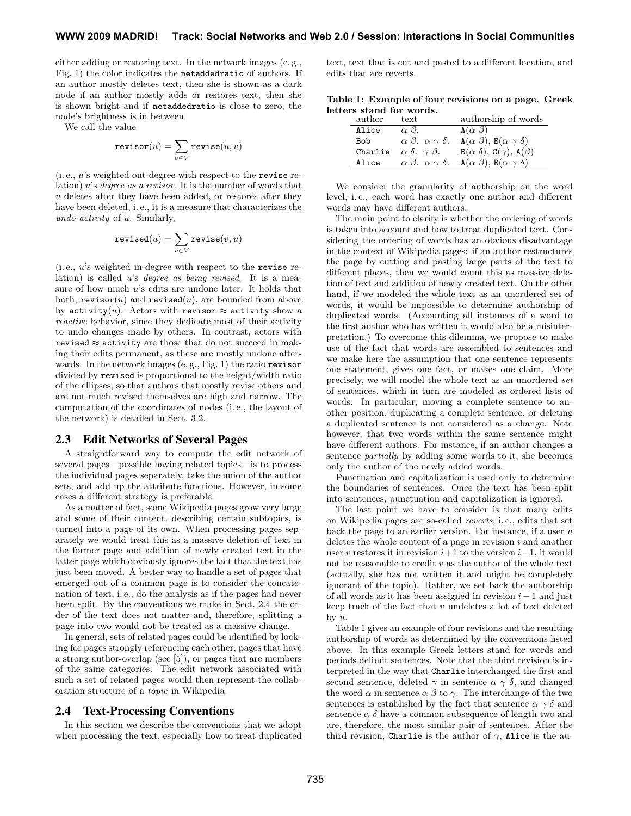either adding or restoring text. In the network images (e. g., Fig. 1) the color indicates the netaddedratio of authors. If an author mostly deletes text, then she is shown as a dark node if an author mostly adds or restores text, then she is shown bright and if netaddedratio is close to zero, the node's brightness is in between.

We call the value

$$
\mathtt{revisor}(u) = \sum_{v \in V} \mathtt{revise}(u, v)
$$

 $(i.e., u's weighted out-degree with respect to the **rewise** re$ lation) u's degree as a revisor. It is the number of words that u deletes after they have been added, or restores after they have been deleted, i. e., it is a measure that characterizes the undo-activity of u. Similarly,

$$
\mathtt{revised}(u) = \sum_{v \in V} \mathtt{rewise}(v, u)
$$

(i. e., u's weighted in-degree with respect to the revise relation) is called u's degree as being revised. It is a measure of how much  $u$ 's edits are undone later. It holds that both,  $revisor(u)$  and  $revised(u)$ , are bounded from above by activity(u). Actors with revisor  $\approx$  activity show a reactive behavior, since they dedicate most of their activity to undo changes made by others. In contrast, actors with revised  $\approx$  activity are those that do not succeed in making their edits permanent, as these are mostly undone afterwards. In the network images (e. g., Fig. 1) the ratio revisor divided by revised is proportional to the height/width ratio of the ellipses, so that authors that mostly revise others and are not much revised themselves are high and narrow. The computation of the coordinates of nodes (i. e., the layout of the network) is detailed in Sect. 3.2.

#### 2.3 Edit Networks of Several Pages

A straightforward way to compute the edit network of several pages—possible having related topics—is to process the individual pages separately, take the union of the author sets, and add up the attribute functions. However, in some cases a different strategy is preferable.

As a matter of fact, some Wikipedia pages grow very large and some of their content, describing certain subtopics, is turned into a page of its own. When processing pages separately we would treat this as a massive deletion of text in the former page and addition of newly created text in the latter page which obviously ignores the fact that the text has just been moved. A better way to handle a set of pages that emerged out of a common page is to consider the concatenation of text, i. e., do the analysis as if the pages had never been split. By the conventions we make in Sect. 2.4 the order of the text does not matter and, therefore, splitting a page into two would not be treated as a massive change.

In general, sets of related pages could be identified by looking for pages strongly referencing each other, pages that have a strong author-overlap (see [5]), or pages that are members of the same categories. The edit network associated with such a set of related pages would then represent the collaboration structure of a topic in Wikipedia.

#### 2.4 Text-Processing Conventions

In this section we describe the conventions that we adopt when processing the text, especially how to treat duplicated text, text that is cut and pasted to a different location, and edits that are reverts.

| Table 1: Example of four revisions on a page. Greek |  |
|-----------------------------------------------------|--|
| letters stand for words.                            |  |

| author  | text                                      | authorship of words                           |
|---------|-------------------------------------------|-----------------------------------------------|
| Alice   | $\alpha$ $\beta$ .                        | $A(\alpha \beta)$                             |
| Bob     | $\alpha \beta$ . $\alpha \gamma \delta$ . | $A(\alpha \beta)$ , $B(\alpha \gamma \delta)$ |
| Charlie | $\alpha \delta$ . $\gamma \beta$ .        | $B(\alpha \delta), C(\gamma), A(\beta)$       |
| Alice   | $\alpha \beta$ . $\alpha \gamma \delta$ . | $A(\alpha \beta), B(\alpha \gamma \delta)$    |

We consider the granularity of authorship on the word level, i. e., each word has exactly one author and different words may have different authors.

The main point to clarify is whether the ordering of words is taken into account and how to treat duplicated text. Considering the ordering of words has an obvious disadvantage in the context of Wikipedia pages: if an author restructures the page by cutting and pasting large parts of the text to different places, then we would count this as massive deletion of text and addition of newly created text. On the other hand, if we modeled the whole text as an unordered set of words, it would be impossible to determine authorship of duplicated words. (Accounting all instances of a word to the first author who has written it would also be a misinterpretation.) To overcome this dilemma, we propose to make use of the fact that words are assembled to sentences and we make here the assumption that one sentence represents one statement, gives one fact, or makes one claim. More precisely, we will model the whole text as an unordered set of sentences, which in turn are modeled as ordered lists of words. In particular, moving a complete sentence to another position, duplicating a complete sentence, or deleting a duplicated sentence is not considered as a change. Note however, that two words within the same sentence might have different authors. For instance, if an author changes a sentence partially by adding some words to it, she becomes only the author of the newly added words.

Punctuation and capitalization is used only to determine the boundaries of sentences. Once the text has been split into sentences, punctuation and capitalization is ignored.

The last point we have to consider is that many edits on Wikipedia pages are so-called reverts, i. e., edits that set back the page to an earlier version. For instance, if a user  $u$ deletes the whole content of a page in revision  $i$  and another user v restores it in revision  $i+1$  to the version  $i-1$ , it would not be reasonable to credit  $v$  as the author of the whole text (actually, she has not written it and might be completely ignorant of the topic). Rather, we set back the authorship of all words as it has been assigned in revision  $i-1$  and just keep track of the fact that v undeletes a lot of text deleted by  $u$ .

Table 1 gives an example of four revisions and the resulting authorship of words as determined by the conventions listed above. In this example Greek letters stand for words and periods delimit sentences. Note that the third revision is interpreted in the way that Charlie interchanged the first and second sentence, deleted  $\gamma$  in sentence  $\alpha \gamma \delta$ , and changed the word  $\alpha$  in sentence  $\alpha \beta$  to  $\gamma$ . The interchange of the two sentences is established by the fact that sentence  $\alpha \gamma \delta$  and sentence  $\alpha \delta$  have a common subsequence of length two and are, therefore, the most similar pair of sentences. After the third revision, Charlie is the author of  $\gamma$ , Alice is the au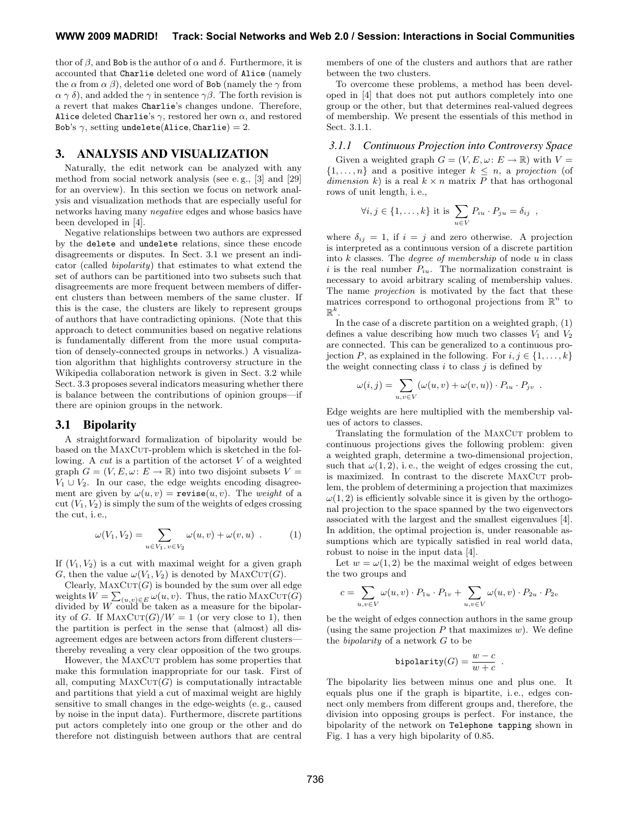thor of  $\beta$ , and Bob is the author of  $\alpha$  and  $\delta$ . Furthermore, it is accounted that Charlie deleted one word of Alice (namely the  $\alpha$  from  $\alpha$   $\beta$ ), deleted one word of Bob (namely the  $\gamma$  from  $\alpha \gamma \delta$ , and added the  $\gamma$  in sentence  $\gamma \beta$ . The forth revision is a revert that makes Charlie's changes undone. Therefore, Alice deleted Charlie's  $\gamma$ , restored her own  $\alpha$ , and restored Bob's  $\gamma$ , setting undelete(Alice, Charlie) = 2.

# 3. ANALYSIS AND VISUALIZATION

Naturally, the edit network can be analyzed with any method from social network analysis (see e. g., [3] and [29] for an overview). In this section we focus on network analysis and visualization methods that are especially useful for networks having many negative edges and whose basics have been developed in [4].

Negative relationships between two authors are expressed by the delete and undelete relations, since these encode disagreements or disputes. In Sect. 3.1 we present an indicator (called bipolarity) that estimates to what extend the set of authors can be partitioned into two subsets such that disagreements are more frequent between members of different clusters than between members of the same cluster. If this is the case, the clusters are likely to represent groups of authors that have contradicting opinions. (Note that this approach to detect communities based on negative relations is fundamentally different from the more usual computation of densely-connected groups in networks.) A visualization algorithm that highlights controversy structure in the Wikipedia collaboration network is given in Sect. 3.2 while Sect. 3.3 proposes several indicators measuring whether there is balance between the contributions of opinion groups—if there are opinion groups in the network.

## 3.1 Bipolarity

A straightforward formalization of bipolarity would be based on the MAXCUT-problem which is sketched in the following. A  $cut$  is a partition of the actorset  $V$  of a weighted graph  $G = (V, E, \omega: E \to \mathbb{R})$  into two disjoint subsets  $V =$  $V_1 \cup V_2$ . In our case, the edge weights encoding disagreement are given by  $\omega(u, v) = \text{revise}(u, v)$ . The weight of a cut  $(V_1, V_2)$  is simply the sum of the weights of edges crossing the cut, i. e.,

$$
\omega(V_1, V_2) = \sum_{u \in V_1, v \in V_2} \omega(u, v) + \omega(v, u) . \tag{1}
$$

If  $(V_1, V_2)$  is a cut with maximal weight for a given graph G, then the value  $\omega(V_1, V_2)$  is denoted by MAXCUT(G).

Clearly,  $MAXCUT(G)$  is bounded by the sum over all edge weights  $W = \sum_{(u,v)\in E} \omega(u,v)$ . Thus, the ratio MAXCUT( $\tilde{G}$ ) divided by W could be taken as a measure for the bipolarity of G. If  $MAXCUT(G)/W = 1$  (or very close to 1), then the partition is perfect in the sense that (almost) all disagreement edges are between actors from different clusters thereby revealing a very clear opposition of the two groups.

However, the MAXCUT problem has some properties that make this formulation inappropriate for our task. First of all, computing  $MAXCUT(G)$  is computationally intractable and partitions that yield a cut of maximal weight are highly sensitive to small changes in the edge-weights (e. g., caused by noise in the input data). Furthermore, discrete partitions put actors completely into one group or the other and do therefore not distinguish between authors that are central members of one of the clusters and authors that are rather between the two clusters.

To overcome these problems, a method has been developed in [4] that does not put authors completely into one group or the other, but that determines real-valued degrees of membership. We present the essentials of this method in Sect. 3.1.1.

#### *3.1.1 Continuous Projection into Controversy Space*

Given a weighted graph  $G = (V, E, \omega: E \to \mathbb{R})$  with  $V =$  $\{1,\ldots,n\}$  and a positive integer  $k \leq n$ , a projection (of dimension k) is a real  $k \times n$  matrix P that has orthogonal rows of unit length, i. e.,

$$
\forall i, j \in \{1, \ldots, k\} \text{ it is } \sum_{u \in V} P_{iu} \cdot P_{ju} = \delta_{ij} ,
$$

where  $\delta_{ij} = 1$ , if  $i = j$  and zero otherwise. A projection is interpreted as a continuous version of a discrete partition into  $k$  classes. The *degree of membership* of node  $u$  in class i is the real number  $P_{iu}$ . The normalization constraint is necessary to avoid arbitrary scaling of membership values. The name projection is motivated by the fact that these matrices correspond to orthogonal projections from  $\mathbb{R}^n$  to  $\mathbb{R}^k$ .

In the case of a discrete partition on a weighted graph, (1) defines a value describing how much two classes  $V_1$  and  $V_2$ are connected. This can be generalized to a continuous projection P, as explained in the following. For  $i, j \in \{1, \ldots, k\}$ the weight connecting class  $i$  to class  $j$  is defined by

$$
\omega(i,j) = \sum_{u,v \in V} (\omega(u,v) + \omega(v,u)) \cdot P_{iu} \cdot P_{jv} .
$$

Edge weights are here multiplied with the membership values of actors to classes.

Translating the formulation of the MAXCUT problem to continuous projections gives the following problem: given a weighted graph, determine a two-dimensional projection, such that  $\omega(1, 2)$ , i.e., the weight of edges crossing the cut, is maximized. In contrast to the discrete MAXCUT problem, the problem of determining a projection that maximizes  $\omega(1, 2)$  is efficiently solvable since it is given by the orthogonal projection to the space spanned by the two eigenvectors associated with the largest and the smallest eigenvalues [4]. In addition, the optimal projection is, under reasonable assumptions which are typically satisfied in real world data, robust to noise in the input data [4].

Let  $w = \omega(1, 2)$  be the maximal weight of edges between the two groups and

$$
c = \sum_{u,v \in V} \omega(u,v) \cdot P_{1u} \cdot P_{1v} + \sum_{u,v \in V} \omega(u,v) \cdot P_{2u} \cdot P_{2v}
$$

be the weight of edges connection authors in the same group (using the same projection  $P$  that maximizes  $w$ ). We define the *bipolarity* of a network  $G$  to be

$$
\text{bipolarity}(G) = \frac{w-c}{w+c} .
$$

The bipolarity lies between minus one and plus one. It equals plus one if the graph is bipartite, i. e., edges connect only members from different groups and, therefore, the division into opposing groups is perfect. For instance, the bipolarity of the network on Telephone tapping shown in Fig. 1 has a very high bipolarity of 0.85.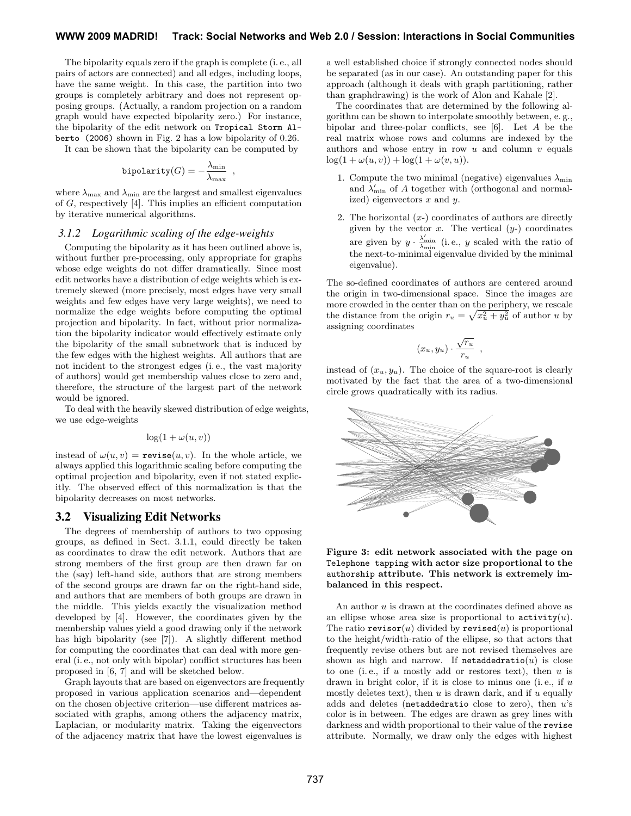The bipolarity equals zero if the graph is complete (i. e., all pairs of actors are connected) and all edges, including loops, have the same weight. In this case, the partition into two groups is completely arbitrary and does not represent opposing groups. (Actually, a random projection on a random graph would have expected bipolarity zero.) For instance, the bipolarity of the edit network on Tropical Storm Alberto (2006) shown in Fig. 2 has a low bipolarity of 0.26.

It can be shown that the bipolarity can be computed by

$$
\text{bipolarity}(G) = -\frac{\lambda_{\min}}{\lambda_{\max}} ,
$$

where  $\lambda_{\text{max}}$  and  $\lambda_{\text{min}}$  are the largest and smallest eigenvalues of G, respectively [4]. This implies an efficient computation by iterative numerical algorithms.

#### *3.1.2 Logarithmic scaling of the edge-weights*

Computing the bipolarity as it has been outlined above is, without further pre-processing, only appropriate for graphs whose edge weights do not differ dramatically. Since most edit networks have a distribution of edge weights which is extremely skewed (more precisely, most edges have very small weights and few edges have very large weights), we need to normalize the edge weights before computing the optimal projection and bipolarity. In fact, without prior normalization the bipolarity indicator would effectively estimate only the bipolarity of the small subnetwork that is induced by the few edges with the highest weights. All authors that are not incident to the strongest edges (i. e., the vast majority of authors) would get membership values close to zero and, therefore, the structure of the largest part of the network would be ignored.

To deal with the heavily skewed distribution of edge weights, we use edge-weights

$$
\log(1+\omega(u,v))
$$

instead of  $\omega(u, v)$  = revise $(u, v)$ . In the whole article, we always applied this logarithmic scaling before computing the optimal projection and bipolarity, even if not stated explicitly. The observed effect of this normalization is that the bipolarity decreases on most networks.

## 3.2 Visualizing Edit Networks

The degrees of membership of authors to two opposing groups, as defined in Sect. 3.1.1, could directly be taken as coordinates to draw the edit network. Authors that are strong members of the first group are then drawn far on the (say) left-hand side, authors that are strong members of the second groups are drawn far on the right-hand side, and authors that are members of both groups are drawn in the middle. This yields exactly the visualization method developed by [4]. However, the coordinates given by the membership values yield a good drawing only if the network has high bipolarity (see [7]). A slightly different method for computing the coordinates that can deal with more general (i. e., not only with bipolar) conflict structures has been proposed in [6, 7] and will be sketched below.

Graph layouts that are based on eigenvectors are frequently proposed in various application scenarios and—dependent on the chosen objective criterion—use different matrices associated with graphs, among others the adjacency matrix, Laplacian, or modularity matrix. Taking the eigenvectors of the adjacency matrix that have the lowest eigenvalues is

a well established choice if strongly connected nodes should be separated (as in our case). An outstanding paper for this approach (although it deals with graph partitioning, rather than graphdrawing) is the work of Alon and Kahale [2].

The coordinates that are determined by the following algorithm can be shown to interpolate smoothly between, e. g., bipolar and three-polar conflicts, see [6]. Let A be the real matrix whose rows and columns are indexed by the authors and whose entry in row  $u$  and column  $v$  equals  $\log(1+\omega(u,v)) + \log(1+\omega(v,u)).$ 

- 1. Compute the two minimal (negative) eigenvalues  $\lambda_{\min}$ and  $\lambda'_{\min}$  of A together with (orthogonal and normalized) eigenvectors  $x$  and  $y$ .
- 2. The horizontal  $(x-)$  coordinates of authors are directly given by the vector x. The vertical  $(y-)$  coordinates are given by  $y \cdot \frac{\lambda'_{\min}}{\lambda_{\min}}$  (i.e., y scaled with the ratio of the next-to-minimal eigenvalue divided by the minimal eigenvalue).

The so-defined coordinates of authors are centered around the origin in two-dimensional space. Since the images are more crowded in the center than on the periphery, we rescale the distance from the origin  $r_u = \sqrt{x_u^2 + y_u^2}$  of author u by assigning coordinates

$$
(x_u, y_u) \cdot \frac{\sqrt{r_u}}{r_u} \ ,
$$

instead of  $(x_u, y_u)$ . The choice of the square-root is clearly motivated by the fact that the area of a two-dimensional circle grows quadratically with its radius.



Figure 3: edit network associated with the page on Telephone tapping with actor size proportional to the authorship attribute. This network is extremely imbalanced in this respect.

An author  $u$  is drawn at the coordinates defined above as an ellipse whose area size is proportional to  $\text{activity}(u)$ . The ratio revisor(u) divided by revised(u) is proportional to the height/width-ratio of the ellipse, so that actors that frequently revise others but are not revised themselves are shown as high and narrow. If netaddedratio(u) is close to one (i.e., if u mostly add or restores text), then u is drawn in bright color, if it is close to minus one (i.e., if  $u$ ) mostly deletes text), then  $u$  is drawn dark, and if  $u$  equally adds and deletes (netaddedratio close to zero), then u's color is in between. The edges are drawn as grey lines with darkness and width proportional to their value of the revise attribute. Normally, we draw only the edges with highest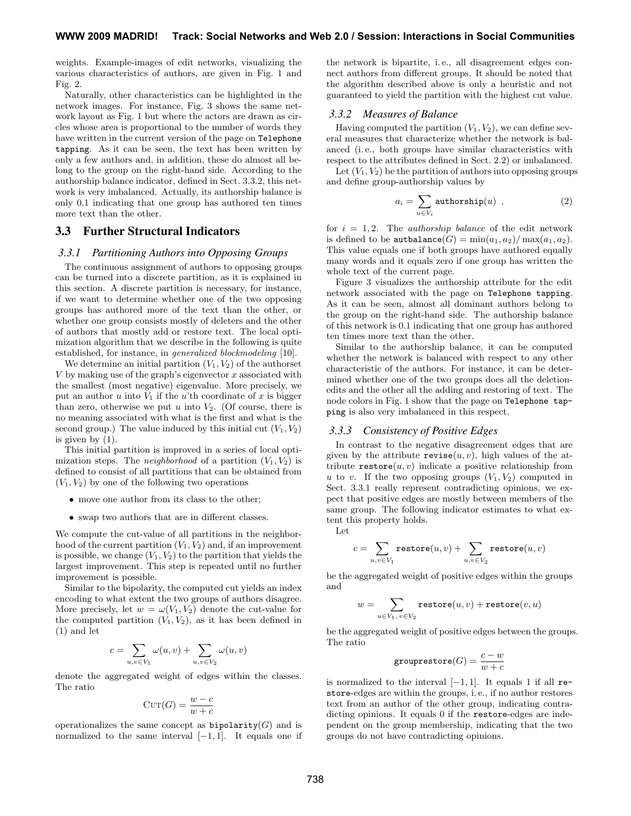weights. Example-images of edit networks, visualizing the various characteristics of authors, are given in Fig. 1 and Fig. 2.

Naturally, other characteristics can be highlighted in the network images. For instance, Fig. 3 shows the same network layout as Fig. 1 but where the actors are drawn as circles whose area is proportional to the number of words they have written in the current version of the page on Telephone tapping. As it can be seen, the text has been written by only a few authors and, in addition, these do almost all belong to the group on the right-hand side. According to the authorship balance indicator, defined in Sect. 3.3.2, this network is very imbalanced. Actually, its authorship balance is only 0.1 indicating that one group has authored ten times more text than the other.

# 3.3 Further Structural Indicators

#### *3.3.1 Partitioning Authors into Opposing Groups*

The continuous assignment of authors to opposing groups can be turned into a discrete partition, as it is explained in this section. A discrete partition is necessary, for instance, if we want to determine whether one of the two opposing groups has authored more of the text than the other, or whether one group consists mostly of deleters and the other of authors that mostly add or restore text. The local optimization algorithm that we describe in the following is quite established, for instance, in generalized blockmodeling [10].

We determine an initial partition  $(V_1, V_2)$  of the authorset  $V$  by making use of the graph's eigenvector  $x$  associated with the smallest (most negative) eigenvalue. More precisely, we put an author  $u$  into  $V_1$  if the  $u$ 'th coordinate of  $x$  is bigger than zero, otherwise we put u into  $V_2$ . (Of course, there is no meaning associated with what is the first and what is the second group.) The value induced by this initial cut  $(V_1, V_2)$ is given by  $(1)$ .

This initial partition is improved in a series of local optimization steps. The *neighborhood* of a partition  $(V_1, V_2)$  is defined to consist of all partitions that can be obtained from  $(V_1, V_2)$  by one of the following two operations

- move one author from its class to the other;
- swap two authors that are in different classes.

We compute the cut-value of all partitions in the neighborhood of the current partition  $(V_1, V_2)$  and, if an improvement is possible, we change  $(V_1, V_2)$  to the partition that yields the largest improvement. This step is repeated until no further improvement is possible.

Similar to the bipolarity, the computed cut yields an index encoding to what extent the two groups of authors disagree. More precisely, let  $w = \omega(V_1, V_2)$  denote the cut-value for the computed partition  $(V_1, V_2)$ , as it has been defined in (1) and let

$$
c = \sum_{u,v \in V_1} \omega(u,v) + \sum_{u,v \in V_2} \omega(u,v)
$$

denote the aggregated weight of edges within the classes. The ratio

$$
\text{Cut}(G) = \frac{w - c}{w + c}
$$

operationalizes the same concept as  $\text{bipolarity}(G)$  and is normalized to the same interval  $[-1, 1]$ . It equals one if the network is bipartite, i. e., all disagreement edges connect authors from different groups. It should be noted that the algorithm described above is only a heuristic and not guaranteed to yield the partition with the highest cut value.

#### *3.3.2 Measures of Balance*

Having computed the partition  $(V_1, V_2)$ , we can define several measures that characterize whether the network is balanced (i. e., both groups have similar characteristics with respect to the attributes defined in Sect. 2.2) or imbalanced.

Let  $(V_1, V_2)$  be the partition of authors into opposing groups and define group-authorship values by

$$
a_i = \sum_{u \in V_i} \text{authorship}(u) , \qquad (2)
$$

for  $i = 1, 2$ . The *authorship balance* of the edit network is defined to be  $\texttt{autbalance}(G) = \min(a_1, a_2) / \max(a_1, a_2)$ . This value equals one if both groups have authored equally many words and it equals zero if one group has written the whole text of the current page.

Figure 3 visualizes the authorship attribute for the edit network associated with the page on Telephone tapping. As it can be seen, almost all dominant authors belong to the group on the right-hand side. The authorship balance of this network is 0.1 indicating that one group has authored ten times more text than the other.

Similar to the authorship balance, it can be computed whether the network is balanced with respect to any other characteristic of the authors. For instance, it can be determined whether one of the two groups does all the deletionedits and the other all the adding and restoring of text. The node colors in Fig. 1 show that the page on Telephone tapping is also very imbalanced in this respect.

#### *3.3.3 Consistency of Positive Edges*

In contrast to the negative disagreement edges that are given by the attribute  $revise(u, v)$ , high values of the attribute  $\texttt{restore}(u, v)$  indicate a positive relationship from u to v. If the two opposing groups  $(V_1, V_2)$  computed in Sect. 3.3.1 really represent contradicting opinions, we expect that positive edges are mostly between members of the same group. The following indicator estimates to what extent this property holds.

Let

$$
c = \sum_{u,v \in V_1} \texttt{restore}(u,v) + \sum_{u,v \in V_2} \texttt{restore}(u,v)
$$

be the aggregated weight of positive edges within the groups and

$$
w = \sum_{u \in V_1,\, v \in V_2} \texttt{restore}(u, v) + \texttt{restore}(v, u)
$$

be the aggregated weight of positive edges between the groups. The ratio

$$
\texttt{grouprestore}(G) = \frac{c - w}{w + c}
$$

is normalized to the interval  $[-1, 1]$ . It equals 1 if all restore-edges are within the groups, i. e., if no author restores text from an author of the other group, indicating contradicting opinions. It equals 0 if the restore-edges are independent on the group membership, indicating that the two groups do not have contradicting opinions.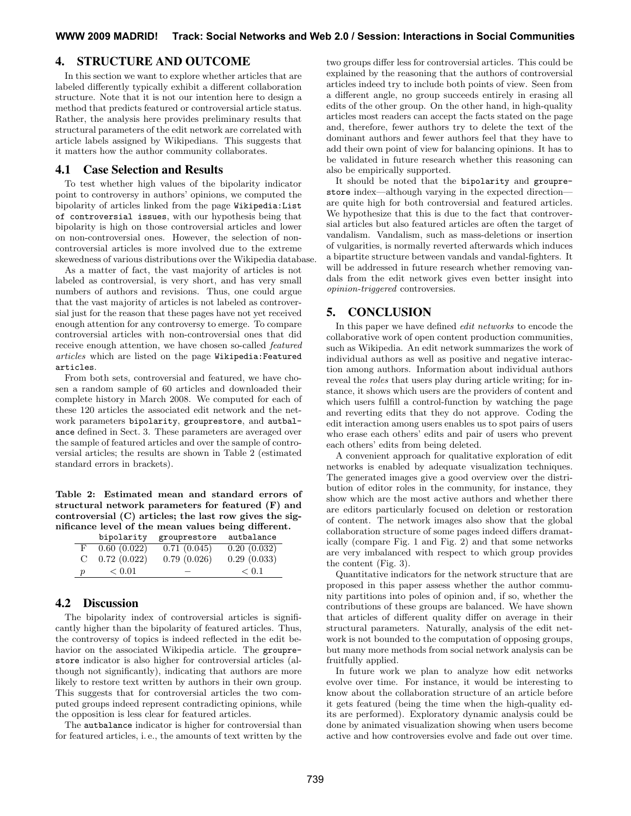## 4. STRUCTURE AND OUTCOME

In this section we want to explore whether articles that are labeled differently typically exhibit a different collaboration structure. Note that it is not our intention here to design a method that predicts featured or controversial article status. Rather, the analysis here provides preliminary results that structural parameters of the edit network are correlated with article labels assigned by Wikipedians. This suggests that it matters how the author community collaborates.

#### 4.1 Case Selection and Results

To test whether high values of the bipolarity indicator point to controversy in authors' opinions, we computed the bipolarity of articles linked from the page Wikipedia:List of controversial issues, with our hypothesis being that bipolarity is high on those controversial articles and lower on non-controversial ones. However, the selection of noncontroversial articles is more involved due to the extreme skewedness of various distributions over the Wikipedia database.

As a matter of fact, the vast majority of articles is not labeled as controversial, is very short, and has very small numbers of authors and revisions. Thus, one could argue that the vast majority of articles is not labeled as controversial just for the reason that these pages have not yet received enough attention for any controversy to emerge. To compare controversial articles with non-controversial ones that did receive enough attention, we have chosen so-called featured articles which are listed on the page Wikipedia:Featured articles.

From both sets, controversial and featured, we have chosen a random sample of 60 articles and downloaded their complete history in March 2008. We computed for each of these 120 articles the associated edit network and the network parameters bipolarity, grouprestore, and autbalance defined in Sect. 3. These parameters are averaged over the sample of featured articles and over the sample of controversial articles; the results are shown in Table 2 (estimated standard errors in brackets).

Table 2: Estimated mean and standard errors of structural network parameters for featured (F) and controversial (C) articles; the last row gives the significance level of the mean values being different.

|                  | bipolarity  | grouprestore | autbalance  |
|------------------|-------------|--------------|-------------|
| $_{\rm F}$       | 0.60(0.022) | 0.71(0.045)  | 0.20(0.032) |
| C                | 0.72(0.022) | 0.79(0.026)  | 0.29(0.033) |
| $\boldsymbol{p}$ | ${}< 0.01$  |              | < 0.1       |

#### 4.2 Discussion

The bipolarity index of controversial articles is significantly higher than the bipolarity of featured articles. Thus, the controversy of topics is indeed reflected in the edit behavior on the associated Wikipedia article. The grouprestore indicator is also higher for controversial articles (although not significantly), indicating that authors are more likely to restore text written by authors in their own group. This suggests that for controversial articles the two computed groups indeed represent contradicting opinions, while the opposition is less clear for featured articles.

The autbalance indicator is higher for controversial than for featured articles, i. e., the amounts of text written by the two groups differ less for controversial articles. This could be explained by the reasoning that the authors of controversial articles indeed try to include both points of view. Seen from a different angle, no group succeeds entirely in erasing all edits of the other group. On the other hand, in high-quality articles most readers can accept the facts stated on the page and, therefore, fewer authors try to delete the text of the dominant authors and fewer authors feel that they have to add their own point of view for balancing opinions. It has to be validated in future research whether this reasoning can also be empirically supported.

It should be noted that the bipolarity and grouprestore index—although varying in the expected direction are quite high for both controversial and featured articles. We hypothesize that this is due to the fact that controversial articles but also featured articles are often the target of vandalism. Vandalism, such as mass-deletions or insertion of vulgarities, is normally reverted afterwards which induces a bipartite structure between vandals and vandal-fighters. It will be addressed in future research whether removing vandals from the edit network gives even better insight into opinion-triggered controversies.

## 5. CONCLUSION

In this paper we have defined edit networks to encode the collaborative work of open content production communities, such as Wikipedia. An edit network summarizes the work of individual authors as well as positive and negative interaction among authors. Information about individual authors reveal the roles that users play during article writing; for instance, it shows which users are the providers of content and which users fulfill a control-function by watching the page and reverting edits that they do not approve. Coding the edit interaction among users enables us to spot pairs of users who erase each others' edits and pair of users who prevent each others' edits from being deleted.

A convenient approach for qualitative exploration of edit networks is enabled by adequate visualization techniques. The generated images give a good overview over the distribution of editor roles in the community, for instance, they show which are the most active authors and whether there are editors particularly focused on deletion or restoration of content. The network images also show that the global collaboration structure of some pages indeed differs dramatically (compare Fig. 1 and Fig. 2) and that some networks are very imbalanced with respect to which group provides the content (Fig. 3).

Quantitative indicators for the network structure that are proposed in this paper assess whether the author community partitions into poles of opinion and, if so, whether the contributions of these groups are balanced. We have shown that articles of different quality differ on average in their structural parameters. Naturally, analysis of the edit network is not bounded to the computation of opposing groups, but many more methods from social network analysis can be fruitfully applied.

In future work we plan to analyze how edit networks evolve over time. For instance, it would be interesting to know about the collaboration structure of an article before it gets featured (being the time when the high-quality edits are performed). Exploratory dynamic analysis could be done by animated visualization showing when users become active and how controversies evolve and fade out over time.